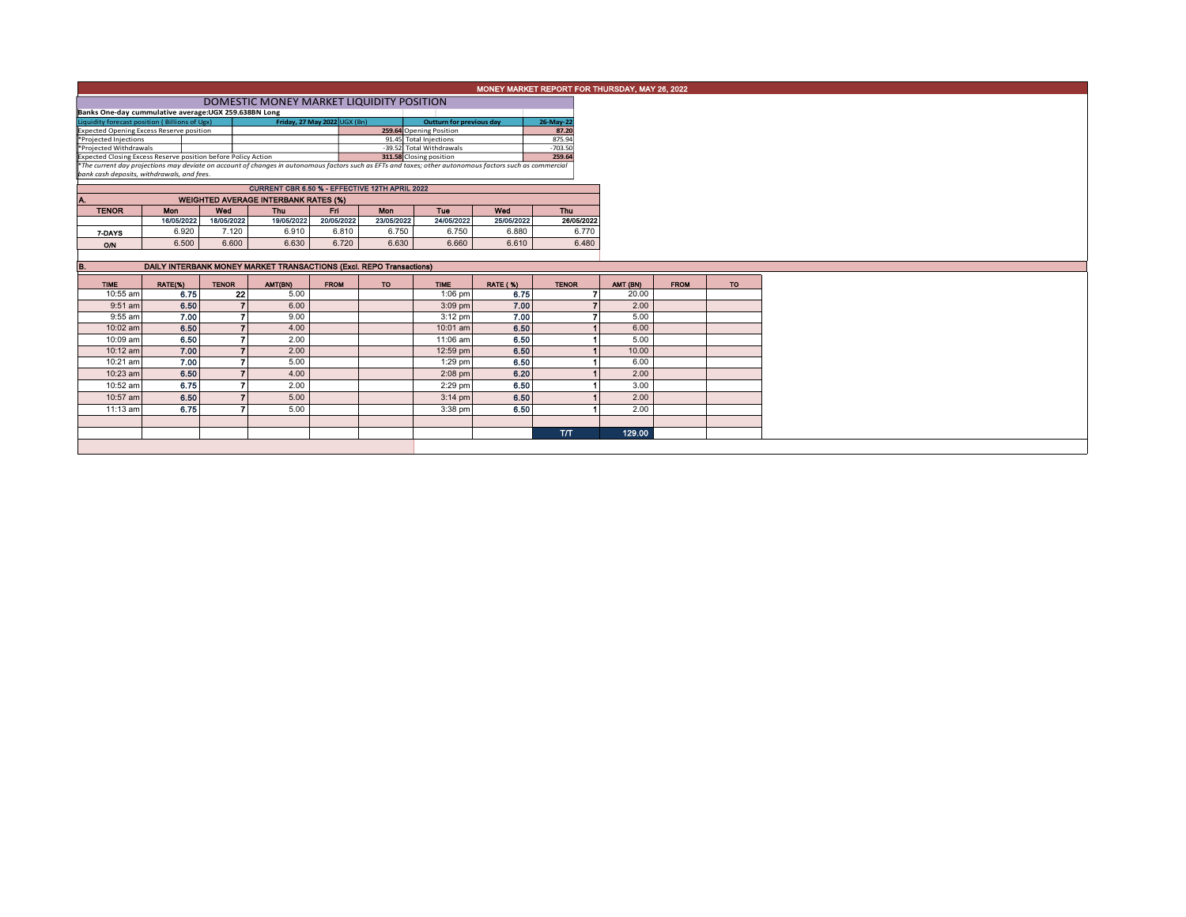|                                                                                                                                                                                                        |                                                                                                                        |              |                          |                                             |             |                          |             |                 | MONEY MARKET REPORT FOR THURSDAY, MAY 26, 2022 |          |             |     |
|--------------------------------------------------------------------------------------------------------------------------------------------------------------------------------------------------------|------------------------------------------------------------------------------------------------------------------------|--------------|--------------------------|---------------------------------------------|-------------|--------------------------|-------------|-----------------|------------------------------------------------|----------|-------------|-----|
|                                                                                                                                                                                                        |                                                                                                                        |              |                          |                                             |             |                          |             |                 |                                                |          |             |     |
| Banks One-day cummulative average: UGX 259.638BN Long                                                                                                                                                  |                                                                                                                        |              |                          |                                             |             |                          |             |                 |                                                |          |             |     |
|                                                                                                                                                                                                        | Friday, 27 May 2022 UGX (Bn)<br>Liquidity forecast position (Billions of Ugx)<br>26-May-22<br>Outturn for previous day |              |                          |                                             |             |                          |             |                 |                                                |          |             |     |
| 259.64 Opening Position<br><b>Expected Opening Excess Reserve position</b>                                                                                                                             |                                                                                                                        |              |                          |                                             |             |                          |             |                 | 87.20                                          |          |             |     |
| *Projected Injections                                                                                                                                                                                  |                                                                                                                        |              |                          |                                             |             | 91.45 Total Injections   |             | 875.94          |                                                |          |             |     |
| *Projected Withdrawals                                                                                                                                                                                 |                                                                                                                        |              |                          |                                             |             | -39.52 Total Withdrawals |             | $-703.50$       |                                                |          |             |     |
| 311.58 Closing position<br>Expected Closing Excess Reserve position before Policy Action                                                                                                               |                                                                                                                        |              |                          |                                             |             |                          |             |                 | 259.64                                         |          |             |     |
| *The current day projections may deviate on account of changes in autonomous factors such as EFTs and taxes; other autonomous factors such as commercial<br>bank cash deposits, withdrawals, and fees. |                                                                                                                        |              |                          |                                             |             |                          |             |                 |                                                |          |             |     |
|                                                                                                                                                                                                        | CURRENT CBR 6.50 % - EFFECTIVE 12TH APRIL 2022                                                                         |              |                          |                                             |             |                          |             |                 |                                                |          |             |     |
| А.                                                                                                                                                                                                     |                                                                                                                        |              |                          | <b>WEIGHTED AVERAGE INTERBANK RATES (%)</b> |             |                          |             |                 |                                                |          |             |     |
| <b>TENOR</b>                                                                                                                                                                                           | <b>Mon</b>                                                                                                             | Wed          |                          | <b>Thu</b>                                  | Fri.        | Mon                      | Tue         | Wed             | Thu                                            |          |             |     |
|                                                                                                                                                                                                        | 16/05/2022                                                                                                             | 18/05/2022   |                          | 19/05/2022                                  | 20/05/2022  | 23/05/2022               | 24/05/2022  | 25/05/2022      | 26/05/2022                                     |          |             |     |
|                                                                                                                                                                                                        |                                                                                                                        |              |                          |                                             |             |                          |             |                 |                                                |          |             |     |
| 7-DAYS                                                                                                                                                                                                 | 6.920                                                                                                                  |              | 7.120                    | 6.910                                       | 6.810       | 6.750                    | 6.750       | 6.880           | 6.770                                          |          |             |     |
| O/N                                                                                                                                                                                                    | 6.500                                                                                                                  |              | 6.600                    | 6.630                                       | 6.720       | 6.630                    | 6.660       | 6.610           | 6.480                                          |          |             |     |
|                                                                                                                                                                                                        |                                                                                                                        |              |                          |                                             |             |                          |             |                 |                                                |          |             |     |
| DAILY INTERBANK MONEY MARKET TRANSACTIONS (Excl. REPO Transactions)<br>B.                                                                                                                              |                                                                                                                        |              |                          |                                             |             |                          |             |                 |                                                |          |             |     |
| <b>TIME</b>                                                                                                                                                                                            | RATE(%)                                                                                                                | <b>TENOR</b> |                          | AMT(BN)                                     | <b>FROM</b> | <b>TO</b>                | <b>TIME</b> | <b>RATE (%)</b> | <b>TENOR</b>                                   | AMT (BN) | <b>FROM</b> | TO. |
| 10:55 am                                                                                                                                                                                               | 6.75                                                                                                                   |              | 22                       | 5.00                                        |             |                          | $1:06$ pm   | 6.75            |                                                | 20.00    |             |     |
| $9:51$ am                                                                                                                                                                                              | 6.50                                                                                                                   |              |                          | 6.00                                        |             |                          | $3:09$ pm   | 7.00            |                                                | 2.00     |             |     |
| 9:55 am                                                                                                                                                                                                | 7.00                                                                                                                   |              | 7                        | 9.00                                        |             |                          | $3:12$ pm   | 7.00            |                                                | 5.00     |             |     |
| 10:02 am                                                                                                                                                                                               | 6.50                                                                                                                   |              | $\overline{ }$           | 4.00                                        |             |                          | 10:01 am    | 6.50            |                                                | 6.00     |             |     |
| 10:09 am                                                                                                                                                                                               | 6.50                                                                                                                   |              |                          | 2.00                                        |             |                          | 11:06 am    | 6.50            |                                                | 5.00     |             |     |
| 10:12 am                                                                                                                                                                                               | 7.00                                                                                                                   |              |                          | 2.00                                        |             |                          | 12:59 pm    | 6.50            |                                                | 10.00    |             |     |
| 10:21 am                                                                                                                                                                                               | 7.00                                                                                                                   |              | $\overline{\phantom{a}}$ | 5.00                                        |             |                          | $1:29$ pm   | 6.50            |                                                | 6.00     |             |     |
| 10:23 am                                                                                                                                                                                               | 6.50                                                                                                                   |              | $\overline{\phantom{a}}$ | 4.00                                        |             |                          | $2:08$ pm   | 6.20            |                                                | 2.00     |             |     |
| 10:52 am                                                                                                                                                                                               | 6.75                                                                                                                   |              |                          | 2.00                                        |             |                          | 2:29 pm     | 6.50            |                                                | 3.00     |             |     |
| 10:57 am                                                                                                                                                                                               |                                                                                                                        | 6.50         |                          | 5.00                                        |             |                          | $3:14$ pm   | 6.50            |                                                | 2.00     |             |     |
| 11:13 am                                                                                                                                                                                               | 6.75                                                                                                                   |              | $\overline{\phantom{a}}$ | 5.00                                        |             |                          | 3:38 pm     | 6.50            |                                                | 2.00     |             |     |
|                                                                                                                                                                                                        |                                                                                                                        |              |                          |                                             |             |                          |             |                 |                                                |          |             |     |
|                                                                                                                                                                                                        |                                                                                                                        |              |                          |                                             |             |                          |             |                 |                                                |          |             |     |
|                                                                                                                                                                                                        |                                                                                                                        |              |                          |                                             |             |                          |             |                 | <b>T/T</b>                                     | 129.00   |             |     |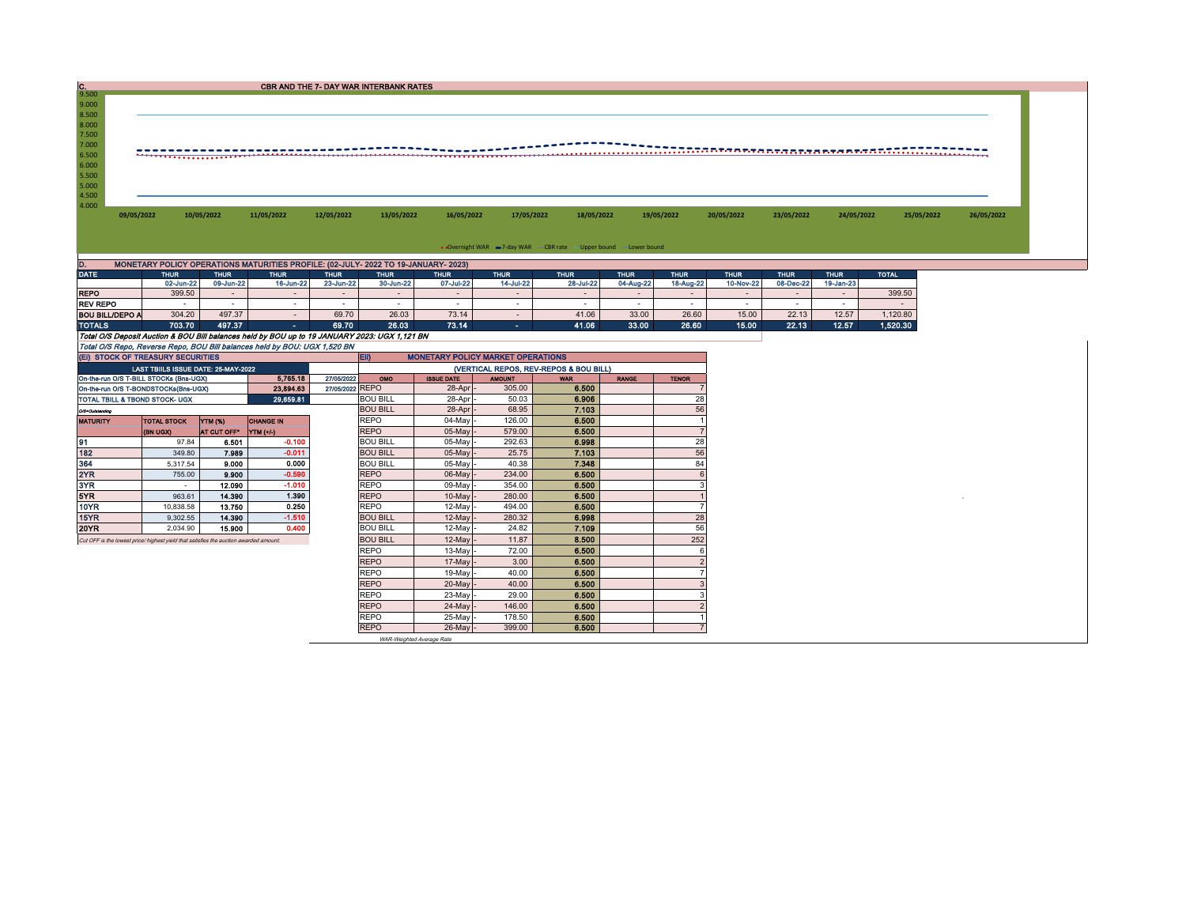| $\frac{C}{9.500}$                                                         |                     |                     |                          |             | CBR AND THE 7- DAY WAR INTERBANK RATES                                                        |                          |                     |                                                                  |                     |                     |                          |                     |                     |              |            |
|---------------------------------------------------------------------------|---------------------|---------------------|--------------------------|-------------|-----------------------------------------------------------------------------------------------|--------------------------|---------------------|------------------------------------------------------------------|---------------------|---------------------|--------------------------|---------------------|---------------------|--------------|------------|
| 9.000                                                                     |                     |                     |                          |             |                                                                                               |                          |                     |                                                                  |                     |                     |                          |                     |                     |              |            |
| 8.500                                                                     |                     |                     |                          |             |                                                                                               |                          |                     |                                                                  |                     |                     |                          |                     |                     |              |            |
| 8.000<br>7.500                                                            |                     |                     |                          |             |                                                                                               |                          |                     |                                                                  |                     |                     |                          |                     |                     |              |            |
| 7.000                                                                     |                     |                     |                          |             |                                                                                               |                          |                     |                                                                  |                     |                     |                          |                     |                     |              |            |
| 6.500                                                                     |                     |                     |                          |             |                                                                                               |                          |                     |                                                                  |                     |                     |                          |                     |                     |              |            |
| 6.000<br>5.500                                                            |                     |                     |                          |             |                                                                                               |                          |                     |                                                                  |                     |                     |                          |                     |                     |              |            |
| 5.000                                                                     |                     |                     |                          |             |                                                                                               |                          |                     |                                                                  |                     |                     |                          |                     |                     |              |            |
| 4.500                                                                     |                     |                     |                          |             |                                                                                               |                          |                     |                                                                  |                     |                     |                          |                     |                     |              |            |
| 4.000<br>09/05/2022                                                       |                     | 10/05/2022          | 11/05/2022               | 12/05/2022  | 13/05/2022                                                                                    | 16/05/2022               | 17/05/2022          | 18/05/2022                                                       |                     | 19/05/2022          | 20/05/2022               | 23/05/2022          | 24/05/2022          | 25/05/2022   | 26/05/2022 |
|                                                                           |                     |                     |                          |             |                                                                                               |                          |                     |                                                                  |                     |                     |                          |                     |                     |              |            |
|                                                                           |                     |                     |                          |             |                                                                                               |                          |                     |                                                                  |                     |                     |                          |                     |                     |              |            |
|                                                                           |                     |                     |                          |             |                                                                                               |                          |                     | . Overnight WAR = 7-day WAR CBR rate - Upper bound - Lower bound |                     |                     |                          |                     |                     |              |            |
| D.                                                                        |                     |                     |                          |             | MONETARY POLICY OPERATIONS MATURITIES PROFILE: (02-JULY- 2022 TO 19-JANUARY- 2023)            |                          |                     |                                                                  |                     |                     |                          |                     |                     |              |            |
| <b>DATE</b>                                                               | <b>THUR</b>         | <b>THUR</b>         | <b>THUR</b>              | <b>THUR</b> | <b>THUR</b>                                                                                   | <b>THUR</b>              | <b>THUR</b>         | <b>THUR</b>                                                      | <b>THUR</b>         | <b>THUR</b>         | <b>THUR</b>              | <b>THUR</b>         | <b>THUR</b>         | <b>TOTAL</b> |            |
| <b>REPO</b>                                                               | 02-Jun-22<br>399.50 | 09-Jun-22<br>$\sim$ | 16-Jun-22<br>$\sim$      | 23-Jun-22   | 30-Jun-22                                                                                     | 07-Jul-22<br>$\sim$      | 14-Jul-22<br>$\sim$ | 28-Jul-22<br>$\overline{\phantom{a}}$                            | 04-Aug-22<br>$\sim$ | 18-Aug-22<br>$\sim$ | 10-Nov-22<br>$\sim$      | 08-Dec-22<br>$\sim$ | 19-Jan-23<br>$\sim$ | 399.50       |            |
| <b>REV REPO</b>                                                           | $\sim$              | $\sim$              | $\sim$                   |             |                                                                                               | $\overline{\phantom{a}}$ | $\sim$              | $\overline{\phantom{a}}$                                         | $\sim$              | $\sim$              | $\overline{\phantom{a}}$ |                     | $\sim$              | $\sim$       |            |
| <b>BOU BILL/DEPO A</b>                                                    | 304.20              | 497.37              | $\overline{\phantom{a}}$ | 69.70       | 26.03                                                                                         | 73.14                    | $\sim$              | 41.06                                                            | 33.00               | 26.60               | 15.00                    | 22.13               | 12.57               | 1,120.80     |            |
| <b>TOTALS</b>                                                             | 703.70              | 497.37              | <b>COL</b>               | 69.70       | 26.03                                                                                         | 73.14                    | $\sim 100$          | 41.06                                                            | 33.00               | 26.60               | 15.00                    | 22.13               | 12.57               | 1,520.30     |            |
|                                                                           |                     |                     |                          |             | Total O/S Deposit Auction & BOU Bill balances held by BOU up to 19 JANUARY 2023: UGX 1,121 BN |                          |                     |                                                                  |                     |                     |                          |                     |                     |              |            |
| Total O/S Repo, Reverse Repo, BOU Bill balances held by BOU: UGX 1,520 BN |                     |                     |                          |             |                                                                                               |                          |                     |                                                                  |                     |                     |                          |                     |                     |              |            |

| (VERTICAL REPOS, REV-REPOS & BOU BILL)<br>LAST TBIILS ISSUE DATE: 25-MAY-2022<br>5.765.18<br>27/05/2022<br>On-the-run O/S T-BILL STOCKs (Bns-UGX)<br>OMO<br><b>ISSUE DATE</b><br><b>AMOUNT</b><br><b>RANGE</b><br><b>WAR</b><br><b>TENOR</b><br>27/05/2022 REPO<br>305.00<br>6.500<br>28-Apr<br>23.894.63<br>On-the-run O/S T-BONDSTOCKs(Bns-UGX)<br><b>BOU BILL</b><br>6.906<br>28<br>28-Apr<br>50.03<br>29.659.81<br>TOTAL TBILL & TBOND STOCK- UGX<br>56<br>7.103<br><b>BOU BILL</b><br>28-Apr<br>68.95<br>Q/3-Outstanding<br><b>REPO</b><br>126.00<br>6.500<br>04-May<br>YTM (%)<br><b>CHANGE IN</b><br><b>TOTAL STOCK</b><br><b>MATURITY</b><br><b>REPO</b><br>579.00<br>6,500<br>05-May<br>AT CUT OFF*<br>YTM (+/-)<br>(BN UGX)<br>28<br>$-0.100$<br>292.63<br><b>BOU BILL</b><br>6.998<br>91<br>05-May<br>97.84<br>6.501<br>182<br>$-0.011$<br>56<br>7.103<br>7.989<br>25.75<br><b>BOU BILL</b><br>05-May<br>349.80<br>84<br>0.000<br>7.348<br>364<br><b>BOU BILL</b><br>05-May<br>40.38<br>9.000<br>5.317.54<br>2YR<br>$-0.590$<br><b>REPO</b><br>234.00<br>6.500<br>06-May<br>9.900<br>755.00<br>3YR<br>$-1.010$<br><b>REPO</b><br>354.00<br>6.500<br>09-May<br>12.090<br>5YR.<br>6.500<br>14,390<br>1.390<br><b>REPO</b><br>280.00<br>10-May<br>963.61<br>10YR<br>6.500<br>0.250<br><b>REPO</b><br>13.750<br>12-Mav<br>494.00<br>10,838.58<br>28<br>15YR<br>$-1.510$<br>6.998<br><b>BOU BILL</b><br>280.32<br>14.390<br>12-May<br>9.302.55 |
|------------------------------------------------------------------------------------------------------------------------------------------------------------------------------------------------------------------------------------------------------------------------------------------------------------------------------------------------------------------------------------------------------------------------------------------------------------------------------------------------------------------------------------------------------------------------------------------------------------------------------------------------------------------------------------------------------------------------------------------------------------------------------------------------------------------------------------------------------------------------------------------------------------------------------------------------------------------------------------------------------------------------------------------------------------------------------------------------------------------------------------------------------------------------------------------------------------------------------------------------------------------------------------------------------------------------------------------------------------------------------------------------------------------------------------------------------|
|                                                                                                                                                                                                                                                                                                                                                                                                                                                                                                                                                                                                                                                                                                                                                                                                                                                                                                                                                                                                                                                                                                                                                                                                                                                                                                                                                                                                                                                      |
|                                                                                                                                                                                                                                                                                                                                                                                                                                                                                                                                                                                                                                                                                                                                                                                                                                                                                                                                                                                                                                                                                                                                                                                                                                                                                                                                                                                                                                                      |
|                                                                                                                                                                                                                                                                                                                                                                                                                                                                                                                                                                                                                                                                                                                                                                                                                                                                                                                                                                                                                                                                                                                                                                                                                                                                                                                                                                                                                                                      |
|                                                                                                                                                                                                                                                                                                                                                                                                                                                                                                                                                                                                                                                                                                                                                                                                                                                                                                                                                                                                                                                                                                                                                                                                                                                                                                                                                                                                                                                      |
|                                                                                                                                                                                                                                                                                                                                                                                                                                                                                                                                                                                                                                                                                                                                                                                                                                                                                                                                                                                                                                                                                                                                                                                                                                                                                                                                                                                                                                                      |
|                                                                                                                                                                                                                                                                                                                                                                                                                                                                                                                                                                                                                                                                                                                                                                                                                                                                                                                                                                                                                                                                                                                                                                                                                                                                                                                                                                                                                                                      |
|                                                                                                                                                                                                                                                                                                                                                                                                                                                                                                                                                                                                                                                                                                                                                                                                                                                                                                                                                                                                                                                                                                                                                                                                                                                                                                                                                                                                                                                      |
|                                                                                                                                                                                                                                                                                                                                                                                                                                                                                                                                                                                                                                                                                                                                                                                                                                                                                                                                                                                                                                                                                                                                                                                                                                                                                                                                                                                                                                                      |
|                                                                                                                                                                                                                                                                                                                                                                                                                                                                                                                                                                                                                                                                                                                                                                                                                                                                                                                                                                                                                                                                                                                                                                                                                                                                                                                                                                                                                                                      |
|                                                                                                                                                                                                                                                                                                                                                                                                                                                                                                                                                                                                                                                                                                                                                                                                                                                                                                                                                                                                                                                                                                                                                                                                                                                                                                                                                                                                                                                      |
|                                                                                                                                                                                                                                                                                                                                                                                                                                                                                                                                                                                                                                                                                                                                                                                                                                                                                                                                                                                                                                                                                                                                                                                                                                                                                                                                                                                                                                                      |
|                                                                                                                                                                                                                                                                                                                                                                                                                                                                                                                                                                                                                                                                                                                                                                                                                                                                                                                                                                                                                                                                                                                                                                                                                                                                                                                                                                                                                                                      |
|                                                                                                                                                                                                                                                                                                                                                                                                                                                                                                                                                                                                                                                                                                                                                                                                                                                                                                                                                                                                                                                                                                                                                                                                                                                                                                                                                                                                                                                      |
|                                                                                                                                                                                                                                                                                                                                                                                                                                                                                                                                                                                                                                                                                                                                                                                                                                                                                                                                                                                                                                                                                                                                                                                                                                                                                                                                                                                                                                                      |
|                                                                                                                                                                                                                                                                                                                                                                                                                                                                                                                                                                                                                                                                                                                                                                                                                                                                                                                                                                                                                                                                                                                                                                                                                                                                                                                                                                                                                                                      |
| 0.400<br>56<br>7.109<br>20YR<br>15,900<br><b>BOU BILL</b><br>12-Mav<br>24.82<br>2.034.90                                                                                                                                                                                                                                                                                                                                                                                                                                                                                                                                                                                                                                                                                                                                                                                                                                                                                                                                                                                                                                                                                                                                                                                                                                                                                                                                                             |
| 252<br>8.500<br><b>BOU BILL</b><br>11.87<br>12-May<br>Cut OFF is the lowest price/ highest yield that satisfies the auction awarded amount.                                                                                                                                                                                                                                                                                                                                                                                                                                                                                                                                                                                                                                                                                                                                                                                                                                                                                                                                                                                                                                                                                                                                                                                                                                                                                                          |
| 6.500<br><b>REPO</b><br>72.00<br>13-May                                                                                                                                                                                                                                                                                                                                                                                                                                                                                                                                                                                                                                                                                                                                                                                                                                                                                                                                                                                                                                                                                                                                                                                                                                                                                                                                                                                                              |
| 6.500<br>3.00<br><b>REPO</b><br>17-May                                                                                                                                                                                                                                                                                                                                                                                                                                                                                                                                                                                                                                                                                                                                                                                                                                                                                                                                                                                                                                                                                                                                                                                                                                                                                                                                                                                                               |
| <b>REPO</b><br>19-May<br>40.00<br>6.500                                                                                                                                                                                                                                                                                                                                                                                                                                                                                                                                                                                                                                                                                                                                                                                                                                                                                                                                                                                                                                                                                                                                                                                                                                                                                                                                                                                                              |
| <b>REPO</b><br>20-May<br>40.00<br>6,500                                                                                                                                                                                                                                                                                                                                                                                                                                                                                                                                                                                                                                                                                                                                                                                                                                                                                                                                                                                                                                                                                                                                                                                                                                                                                                                                                                                                              |
| <b>REPO</b><br>29.00<br>6.500<br>23-May                                                                                                                                                                                                                                                                                                                                                                                                                                                                                                                                                                                                                                                                                                                                                                                                                                                                                                                                                                                                                                                                                                                                                                                                                                                                                                                                                                                                              |
| 6.500<br><b>REPO</b><br>24-May<br>146.00                                                                                                                                                                                                                                                                                                                                                                                                                                                                                                                                                                                                                                                                                                                                                                                                                                                                                                                                                                                                                                                                                                                                                                                                                                                                                                                                                                                                             |
| 6.500<br><b>REPO</b><br>25-May<br>178.50                                                                                                                                                                                                                                                                                                                                                                                                                                                                                                                                                                                                                                                                                                                                                                                                                                                                                                                                                                                                                                                                                                                                                                                                                                                                                                                                                                                                             |
| 6.500<br><b>REPO</b><br>399.00<br>26-May                                                                                                                                                                                                                                                                                                                                                                                                                                                                                                                                                                                                                                                                                                                                                                                                                                                                                                                                                                                                                                                                                                                                                                                                                                                                                                                                                                                                             |
| WAR-Weighted Average Rate                                                                                                                                                                                                                                                                                                                                                                                                                                                                                                                                                                                                                                                                                                                                                                                                                                                                                                                                                                                                                                                                                                                                                                                                                                                                                                                                                                                                                            |